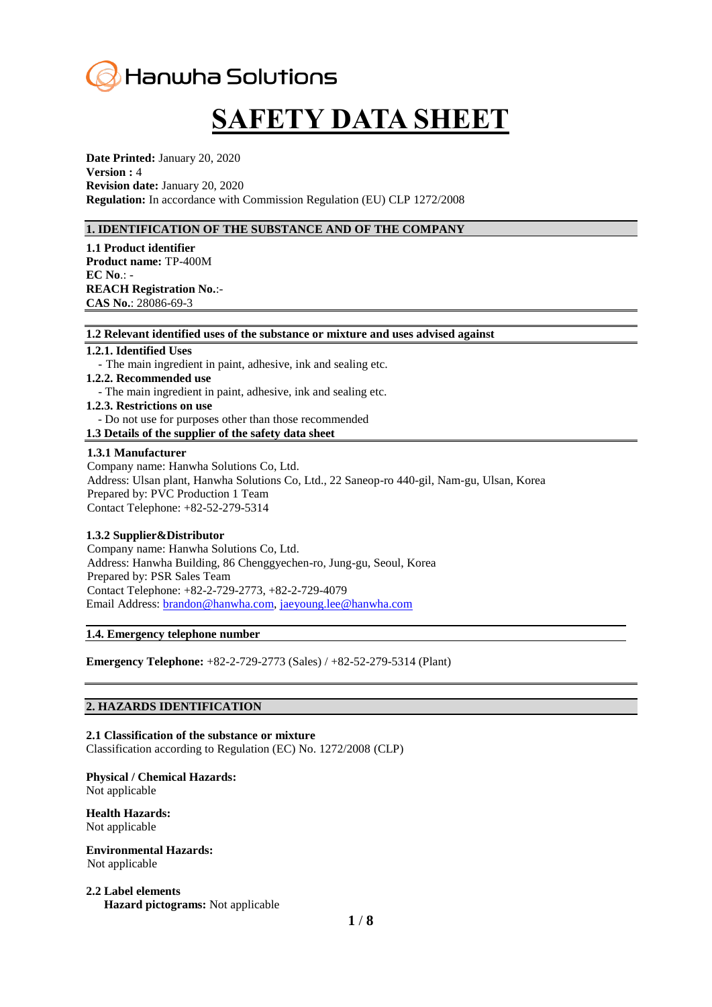

# **SAFETY DATA SHEET**

**Date Printed:** January 20, 2020 **Version :** 4 **Revision date:** January 20, 2020 **Regulation:** In accordance with Commission Regulation (EU) CLP 1272/2008

# **1. IDENTIFICATION OF THE SUBSTANCE AND OF THE COMPANY**

**1.1 Product identifier Product name:** TP-400M **EC No**.: - **REACH Registration No.**:- **CAS No.**: 28086-69-3

#### **1.2 Relevant identified uses of the substance or mixture and uses advised against**

#### **1.2.1. Identified Uses**

- The main ingredient in paint, adhesive, ink and sealing etc.
- **1.2.2. Recommended use**
	- The main ingredient in paint, adhesive, ink and sealing etc.
- **1.2.3. Restrictions on use**
- Do not use for purposes other than those recommended
- **1.3 Details of the supplier of the safety data sheet**

#### **1.3.1 Manufacturer**

Company name: Hanwha Solutions Co, Ltd. Address: Ulsan plant, Hanwha Solutions Co, Ltd., 22 Saneop-ro 440-gil, Nam-gu, Ulsan, Korea Prepared by: PVC Production 1 Team Contact Telephone: +82-52-279-5314

#### **1.3.2 Supplier&Distributor**

Company name: Hanwha Solutions Co, Ltd. Address: Hanwha Building, 86 Chenggyechen-ro, Jung-gu, Seoul, Korea Prepared by: PSR Sales Team Contact Telephone: +82-2-729-2773, +82-2-729-4079 Email Address: [brandon@hanwha.com,](mailto:brandon@hanwha.com) [jaeyoung.lee@hanwha.com](mailto:jaeyoung.lee@hanwha.com)

#### **1.4. Emergency telephone number**

**Emergency Telephone:** +82-2-729-2773 (Sales) / +82-52-279-5314 (Plant)

#### **2. HAZARDS IDENTIFICATION**

**2.1 Classification of the substance or mixture** Classification according to Regulation (EC) No. 1272/2008 (CLP)

**Physical / Chemical Hazards:**  Not applicable

**Health Hazards:**  Not applicable

#### **Environmental Hazards:**  Not applicable

**2.2 Label elements Hazard pictograms:** Not applicable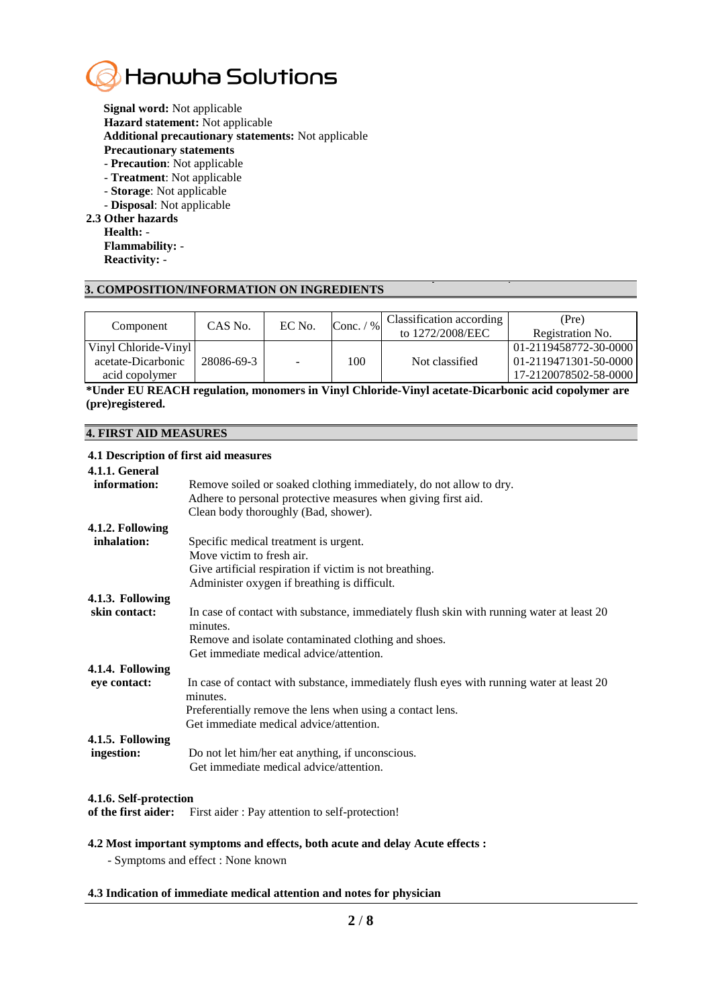

**Signal word:** Not applicable **Hazard statement:** Not applicable **Additional precautionary statements:** Not applicable **Precautionary statements** - **Precaution**: Not applicable

- **Treatment**: Not applicable

- **Storage**: Not applicable
- **Disposal**: Not applicable

## **2.3 Other hazards**

**Health:** - **Flammability:** - **Reactivity:** -

# **3. COMPOSITION/INFORMATION ON INGREDIENTS**

| Component            | CAS No.    | EC No. | $\frac{0}{0}$<br>Conc. | Classification according<br>to 1272/2008/EEC | (Pre)<br>Registration No. |
|----------------------|------------|--------|------------------------|----------------------------------------------|---------------------------|
| Vinyl Chloride-Vinyl |            |        |                        |                                              | 01-2119458772-30-0000     |
| acetate-Dicarbonic   | 28086-69-3 |        | 100                    | Not classified                               | 01-2119471301-50-0000     |
| acid copolymer       |            |        |                        |                                              | 17-2120078502-58-0000     |

**\*Under EU REACH regulation, monomers in Vinyl Chloride-Vinyl acetate-Dicarbonic acid copolymer are (pre)registered.**

# **4. FIRST AID MEASURES**

#### **4.1 Description of first aid measures**

| 4.1.1. General<br>information: | Remove soiled or soaked clothing immediately, do not allow to dry.<br>Adhere to personal protective measures when giving first aid.<br>Clean body thoroughly (Bad, shower). |
|--------------------------------|-----------------------------------------------------------------------------------------------------------------------------------------------------------------------------|
| 4.1.2. Following               |                                                                                                                                                                             |
| inhalation:                    | Specific medical treatment is urgent.                                                                                                                                       |
|                                | Move victim to fresh air.                                                                                                                                                   |
|                                | Give artificial respiration if victim is not breathing.                                                                                                                     |
|                                | Administer oxygen if breathing is difficult.                                                                                                                                |
|                                |                                                                                                                                                                             |
| 4.1.3. Following               |                                                                                                                                                                             |
| skin contact:                  | In case of contact with substance, immediately flush skin with running water at least 20<br>minutes.                                                                        |
|                                | Remove and isolate contaminated clothing and shoes.                                                                                                                         |
|                                | Get immediate medical advice/attention.                                                                                                                                     |
| 4.1.4. Following               |                                                                                                                                                                             |
| eye contact:                   | In case of contact with substance, immediately flush eyes with running water at least 20<br>minutes.                                                                        |
|                                | Preferentially remove the lens when using a contact lens.                                                                                                                   |
|                                | Get immediate medical advice/attention.                                                                                                                                     |
|                                |                                                                                                                                                                             |
| 4.1.5. Following               |                                                                                                                                                                             |
| ingestion:                     | Do not let him/her eat anything, if unconscious.                                                                                                                            |
|                                | Get immediate medical advice/attention.                                                                                                                                     |
|                                |                                                                                                                                                                             |

# **4.1.6. Self-protection**

**of the first aider:** First aider : Pay attention to self-protection!

# **4.2 Most important symptoms and effects, both acute and delay Acute effects :**

- Symptoms and effect : None known

# **4.3 Indication of immediate medical attention and notes for physician**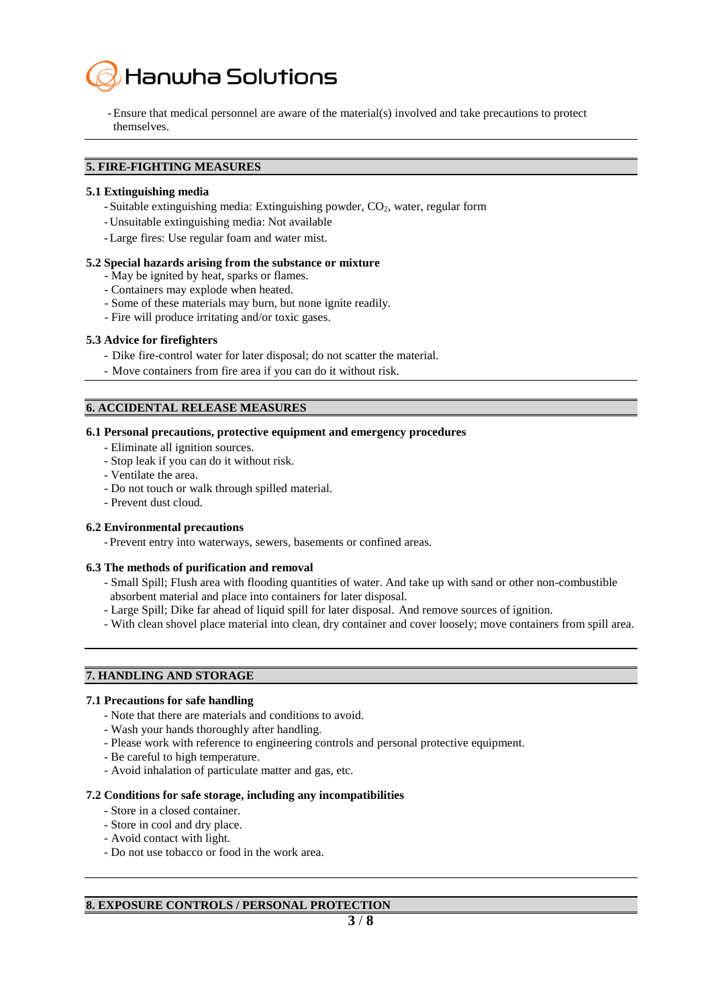

-Ensure that medical personnel are aware of the material(s) involved and take precautions to protect themselves.

# **5. FIRE-FIGHTING MEASURES**

#### **5.1 Extinguishing media**

- Suitable extinguishing media: Extinguishing powder, CO<sub>2</sub>, water, regular form
- Unsuitable extinguishing media: Not available
- -Large fires: Use regular foam and water mist.

#### **5.2 Special hazards arising from the substance or mixture**

- May be ignited by heat, sparks or flames.
- Containers may explode when heated.
- Some of these materials may burn, but none ignite readily.
- Fire will produce irritating and/or toxic gases.

#### **5.3 Advice for firefighters**

- Dike fire-control water for later disposal; do not scatter the material.
- Move containers from fire area if you can do it without risk.

#### **6. ACCIDENTAL RELEASE MEASURES**

#### **6.1 Personal precautions, protective equipment and emergency procedures**

- Eliminate all ignition sources.
- Stop leak if you can do it without risk.
- Ventilate the area.
- Do not touch or walk through spilled material.
- Prevent dust cloud.

# **6.2 Environmental precautions**

- Prevent entry into waterways, sewers, basements or confined areas.

#### **6.3 The methods of purification and removal**

- Small Spill; Flush area with flooding quantities of water. And take up with sand or other non-combustible absorbent material and place into containers for later disposal.
- Large Spill; Dike far ahead of liquid spill for later disposal. And remove sources of ignition.
- With clean shovel place material into clean, dry container and cover loosely; move containers from spill area.

# **7. HANDLING AND STORAGE**

# **7.1 Precautions for safe handling**

- Note that there are materials and conditions to avoid.
- Wash your hands thoroughly after handling.
- Please work with reference to engineering controls and personal protective equipment.
- Be careful to high temperature.
- Avoid inhalation of particulate matter and gas, etc.

#### **7.2 Conditions for safe storage, including any incompatibilities**

- Store in a closed container.
- Store in cool and dry place.
- Avoid contact with light.
- Do not use tobacco or food in the work area.

# **8. EXPOSURE CONTROLS / PERSONAL PROTECTION**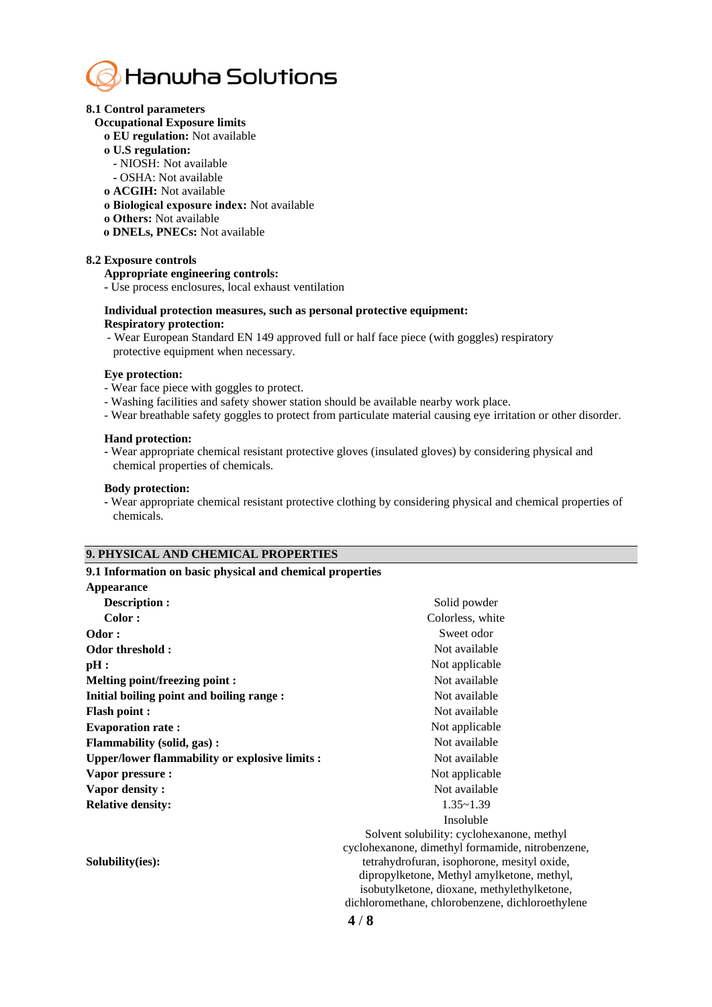

#### **8.1 Control parameters**

- **Occupational Exposure limits**
	- **ο EU regulation:** Not available
	- **ο U.S regulation:** 
		- **-** NIOSH: Not available
	- **-** OSHA: Not available
	- **ο ACGIH:** Not available
	- **ο Biological exposure index:** Not available
	- **ο Others:** Not available
	- **ο DNELs, PNECs:** Not available

#### **8.2 Exposure controls**

#### **Appropriate engineering controls:**

 **-** Use process enclosures, local exhaust ventilation

#### **Individual protection measures, such as personal protective equipment: Respiratory protection:**

- Wear European Standard EN 149 approved full or half face piece (with goggles) respiratory protective equipment when necessary.

#### **Eye protection:**

- Wear face piece with goggles to protect.
- Washing facilities and safety shower station should be available nearby work place.
- Wear breathable safety goggles to protect from particulate material causing eye irritation or other disorder.

#### **Hand protection:**

 **-** Wear appropriate chemical resistant protective gloves (insulated gloves) by considering physical and chemical properties of chemicals.

#### **Body protection:**

 **-** Wear appropriate chemical resistant protective clothing by considering physical and chemical properties of chemicals.

#### **9. PHYSICAL AND CHEMICAL PROPERTIES**

| Solid powder<br>Colorless, white<br>Sweet odor<br>Not available                                                                                                                                                                                                                                      |
|------------------------------------------------------------------------------------------------------------------------------------------------------------------------------------------------------------------------------------------------------------------------------------------------------|
|                                                                                                                                                                                                                                                                                                      |
|                                                                                                                                                                                                                                                                                                      |
|                                                                                                                                                                                                                                                                                                      |
|                                                                                                                                                                                                                                                                                                      |
|                                                                                                                                                                                                                                                                                                      |
| Not applicable                                                                                                                                                                                                                                                                                       |
| Not available                                                                                                                                                                                                                                                                                        |
| Not available                                                                                                                                                                                                                                                                                        |
| Not available                                                                                                                                                                                                                                                                                        |
| Not applicable                                                                                                                                                                                                                                                                                       |
| Not available                                                                                                                                                                                                                                                                                        |
| Not available                                                                                                                                                                                                                                                                                        |
| Not applicable                                                                                                                                                                                                                                                                                       |
| Not available                                                                                                                                                                                                                                                                                        |
| $1.35 - 1.39$                                                                                                                                                                                                                                                                                        |
| Insoluble                                                                                                                                                                                                                                                                                            |
| Solvent solubility: cyclohexanone, methyl<br>cyclohexanone, dimethyl formamide, nitrobenzene,<br>tetrahydrofuran, isophorone, mesityl oxide,<br>dipropylketone, Methyl amylketone, methyl,<br>isobutylketone, dioxane, methylethylketone,<br>dichloromethane, chlorobenzene, dichloroethylene<br>4/8 |
|                                                                                                                                                                                                                                                                                                      |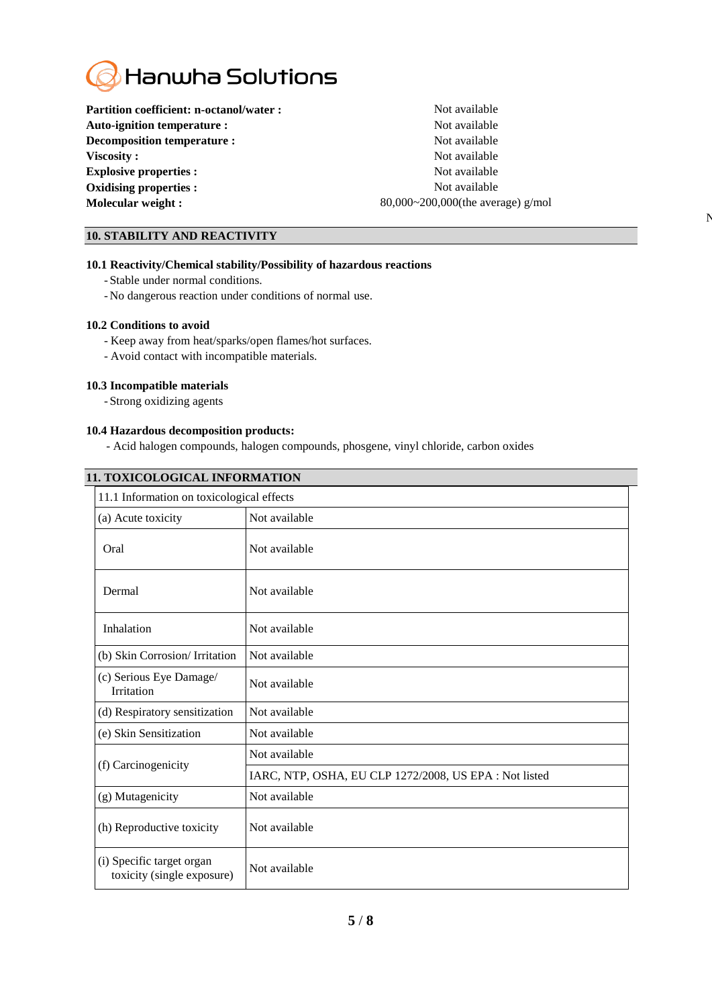

Partition coefficient: n-octanol/water : Not available **Auto-ignition temperature :** Not available **Decomposition temperature :** Not available **Viscosity :** Not available **Explosive properties :** Not available **Oxidising properties :** Not available **Molecular weight :** 80,000~200,000(the average) g/mol

 $\mathbf N$ 

# **10. STABILITY AND REACTIVITY**

#### **10.1 Reactivity/Chemical stability/Possibility of hazardous reactions**

- Stable under normal conditions.
- No dangerous reaction under conditions of normal use.

#### **10.2 Conditions to avoid**

- Keep away from heat/sparks/open flames/hot surfaces.
- Avoid contact with incompatible materials.

#### **10.3 Incompatible materials**

- Strong oxidizing agents

#### **10.4 Hazardous decomposition products:**

- Acid halogen compounds, halogen compounds, phosgene, vinyl chloride, carbon oxides

| <b>11. TOXICOLOGICAL INFORMATION</b>                    |                                                        |  |  |  |
|---------------------------------------------------------|--------------------------------------------------------|--|--|--|
| 11.1 Information on toxicological effects               |                                                        |  |  |  |
| (a) Acute toxicity                                      | Not available                                          |  |  |  |
| Oral                                                    | Not available                                          |  |  |  |
| Dermal                                                  | Not available                                          |  |  |  |
| Inhalation                                              | Not available                                          |  |  |  |
| (b) Skin Corrosion/ Irritation                          | Not available                                          |  |  |  |
| (c) Serious Eye Damage/<br><b>Irritation</b>            | Not available                                          |  |  |  |
| (d) Respiratory sensitization                           | Not available                                          |  |  |  |
| (e) Skin Sensitization                                  | Not available                                          |  |  |  |
|                                                         | Not available                                          |  |  |  |
| (f) Carcinogenicity                                     | IARC, NTP, OSHA, EU CLP 1272/2008, US EPA : Not listed |  |  |  |
| (g) Mutagenicity                                        | Not available                                          |  |  |  |
| (h) Reproductive toxicity                               | Not available                                          |  |  |  |
| (i) Specific target organ<br>toxicity (single exposure) | Not available                                          |  |  |  |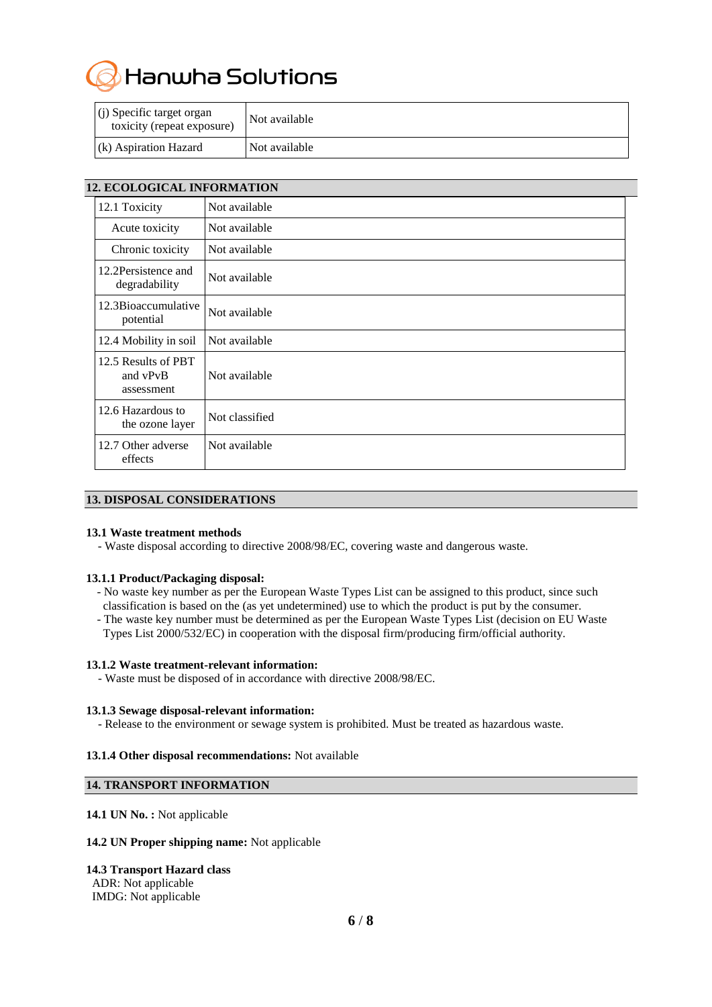Hanwha Solutions

| $(i)$ Specific target organ<br>toxicity (repeat exposure) | Not available |
|-----------------------------------------------------------|---------------|
| $(k)$ Aspiration Hazard                                   | Not available |

| <b>12. ECOLOGICAL INFORMATION</b>             |                |  |
|-----------------------------------------------|----------------|--|
| 12.1 Toxicity                                 | Not available  |  |
| Acute toxicity                                | Not available  |  |
| Chronic toxicity                              | Not available  |  |
| 12.2Persistence and<br>degradability          | Not available  |  |
| 12.3Bioaccumulative<br>potential              | Not available  |  |
| 12.4 Mobility in soil                         | Not available  |  |
| 12.5 Results of PBT<br>and vPvB<br>assessment | Not available  |  |
| 12.6 Hazardous to<br>the ozone layer          | Not classified |  |
| 12.7 Other adverse<br>effects                 | Not available  |  |

# **13. DISPOSAL CONSIDERATIONS**

#### **13.1 Waste treatment methods**

- Waste disposal according to directive 2008/98/EC, covering waste and dangerous waste.

# **13.1.1 Product/Packaging disposal:**

- No waste key number as per the European Waste Types List can be assigned to this product, since such classification is based on the (as yet undetermined) use to which the product is put by the consumer.
- The waste key number must be determined as per the European Waste Types List (decision on EU Waste Types List 2000/532/EC) in cooperation with the disposal firm/producing firm/official authority.

#### **13.1.2 Waste treatment-relevant information:**

- Waste must be disposed of in accordance with directive 2008/98/EC.

#### **13.1.3 Sewage disposal-relevant information:**

- Release to the environment or sewage system is prohibited. Must be treated as hazardous waste.

#### **13.1.4 Other disposal recommendations:** Not available

# **14. TRANSPORT INFORMATION**

**14.1 UN No. :** Not applicable

#### **14.2 UN Proper shipping name:** Not applicable

# **14.3 Transport Hazard class**

ADR: Not applicable IMDG: Not applicable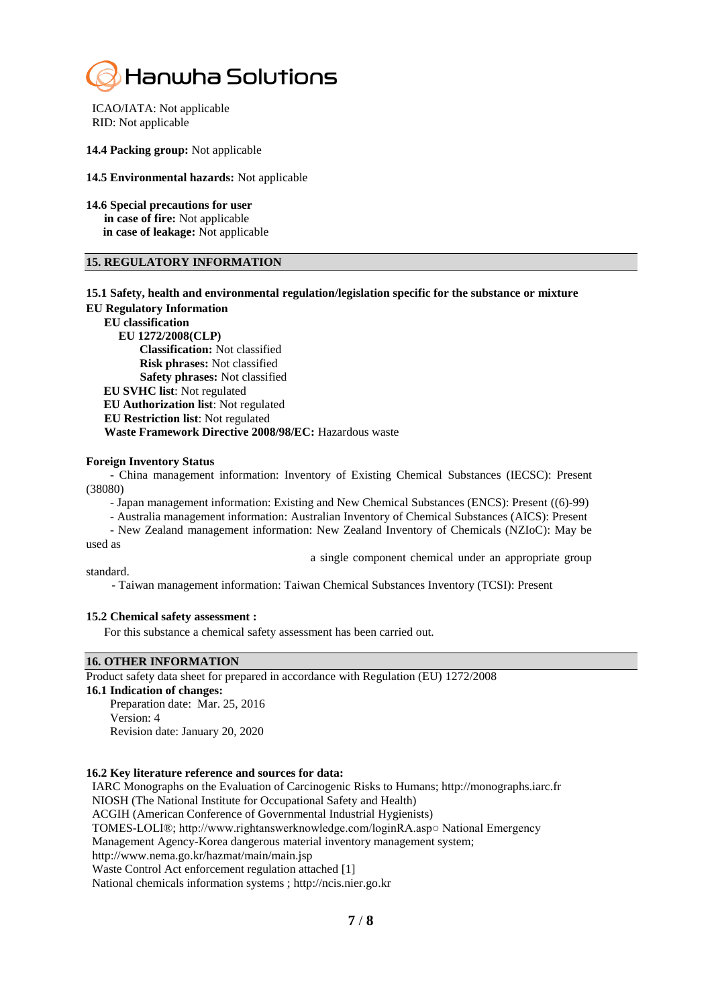

ICAO/IATA: Not applicable RID: Not applicable

**14.4 Packing group:** Not applicable

**14.5 Environmental hazards:** Not applicable

**14.6 Special precautions for user in case of fire:** Not applicable **in case of leakage:** Not applicable

#### **15. REGULATORY INFORMATION**

# **15.1 Safety, health and environmental regulation/legislation specific for the substance or mixture**

**EU Regulatory Information**

**EU classification** 

**EU 1272/2008(CLP)** 

 **Classification:** Not classified  **Risk phrases:** Not classified  **Safety phrases:** Not classified

**EU SVHC list**: Not regulated

**EU Authorization list**: Not regulated

**EU Restriction list**: Not regulated

 **Waste Framework Directive 2008/98/EC:** Hazardous waste

#### **Foreign Inventory Status**

- China management information: Inventory of Existing Chemical Substances (IECSC): Present (38080)

- Japan management information: Existing and New Chemical Substances (ENCS): Present ((6)-99)

- Australia management information: Australian Inventory of Chemical Substances (AICS): Present

- New Zealand management information: New Zealand Inventory of Chemicals (NZIoC): May be used as

a single component chemical under an appropriate group

standard.

- Taiwan management information: Taiwan Chemical Substances Inventory (TCSI): Present

#### **15.2 Chemical safety assessment :**

For this substance a chemical safety assessment has been carried out.

# **16. OTHER INFORMATION**

Product safety data sheet for prepared in accordance with Regulation (EU) 1272/2008

**16.1 Indication of changes:** Preparation date: Mar. 25, 2016 Version: 4

Revision date: January 20, 2020

#### **16.2 Key literature reference and sources for data:**

 IARC Monographs on the Evaluation of Carcinogenic Risks to Humans; http://monographs.iarc.fr NIOSH (The National Institute for Occupational Safety and Health) ACGIH (American Conference of Governmental Industrial Hygienists) TOMES-LOLI®; http://www.rightanswerknowledge.com/loginRA.asp○ National Emergency Management Agency-Korea dangerous material inventory management system; http://www.nema.go.kr/hazmat/main/main.jsp Waste Control Act enforcement regulation attached [1] National chemicals information systems ; http://ncis.nier.go.kr